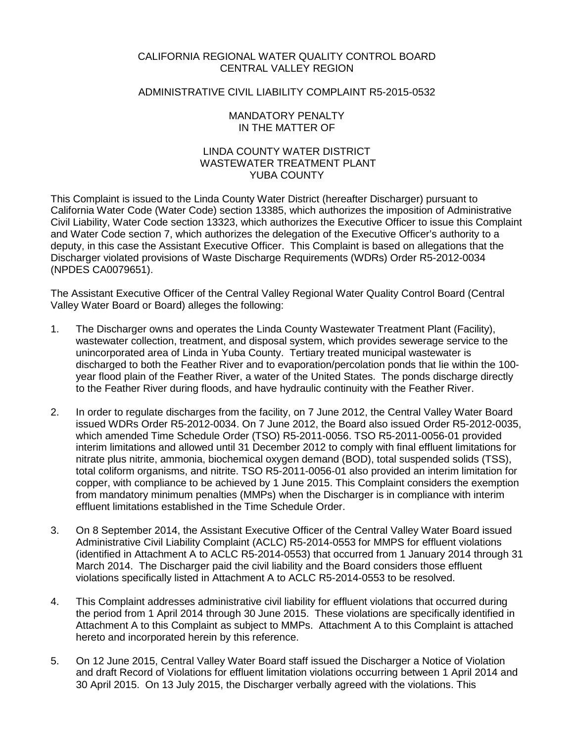### CALIFORNIA REGIONAL WATER QUALITY CONTROL BOARD CENTRAL VALLEY REGION

### ADMINISTRATIVE CIVIL LIABILITY COMPLAINT R5-2015-0532

### MANDATORY PENALTY IN THE MATTER OF

## LINDA COUNTY WATER DISTRICT WASTEWATER TREATMENT PLANT YUBA COUNTY

This Complaint is issued to the Linda County Water District (hereafter Discharger) pursuant to California Water Code (Water Code) section 13385, which authorizes the imposition of Administrative Civil Liability, Water Code section 13323, which authorizes the Executive Officer to issue this Complaint and Water Code section 7, which authorizes the delegation of the Executive Officer's authority to a deputy, in this case the Assistant Executive Officer. This Complaint is based on allegations that the Discharger violated provisions of Waste Discharge Requirements (WDRs) Order R5-2012-0034 (NPDES CA0079651).

The Assistant Executive Officer of the Central Valley Regional Water Quality Control Board (Central Valley Water Board or Board) alleges the following:

- 1. The Discharger owns and operates the Linda County Wastewater Treatment Plant (Facility), wastewater collection, treatment, and disposal system, which provides sewerage service to the unincorporated area of Linda in Yuba County. Tertiary treated municipal wastewater is discharged to both the Feather River and to evaporation/percolation ponds that lie within the 100 year flood plain of the Feather River, a water of the United States. The ponds discharge directly to the Feather River during floods, and have hydraulic continuity with the Feather River.
- 2. In order to regulate discharges from the facility, on 7 June 2012, the Central Valley Water Board issued WDRs Order R5-2012-0034. On 7 June 2012, the Board also issued Order R5-2012-0035, which amended Time Schedule Order (TSO) R5-2011-0056. TSO R5-2011-0056-01 provided interim limitations and allowed until 31 December 2012 to comply with final effluent limitations for nitrate plus nitrite, ammonia, biochemical oxygen demand (BOD), total suspended solids (TSS), total coliform organisms, and nitrite. TSO R5-2011-0056-01 also provided an interim limitation for copper, with compliance to be achieved by 1 June 2015. This Complaint considers the exemption from mandatory minimum penalties (MMPs) when the Discharger is in compliance with interim effluent limitations established in the Time Schedule Order.
- 3. On 8 September 2014, the Assistant Executive Officer of the Central Valley Water Board issued Administrative Civil Liability Complaint (ACLC) R5-2014-0553 for MMPS for effluent violations (identified in Attachment A to ACLC R5-2014-0553) that occurred from 1 January 2014 through 31 March 2014. The Discharger paid the civil liability and the Board considers those effluent violations specifically listed in Attachment A to ACLC R5-2014-0553 to be resolved.
- 4. This Complaint addresses administrative civil liability for effluent violations that occurred during the period from 1 April 2014 through 30 June 2015. These violations are specifically identified in Attachment A to this Complaint as subject to MMPs. Attachment A to this Complaint is attached hereto and incorporated herein by this reference.
- 5. On 12 June 2015, Central Valley Water Board staff issued the Discharger a Notice of Violation and draft Record of Violations for effluent limitation violations occurring between 1 April 2014 and 30 April 2015. On 13 July 2015, the Discharger verbally agreed with the violations. This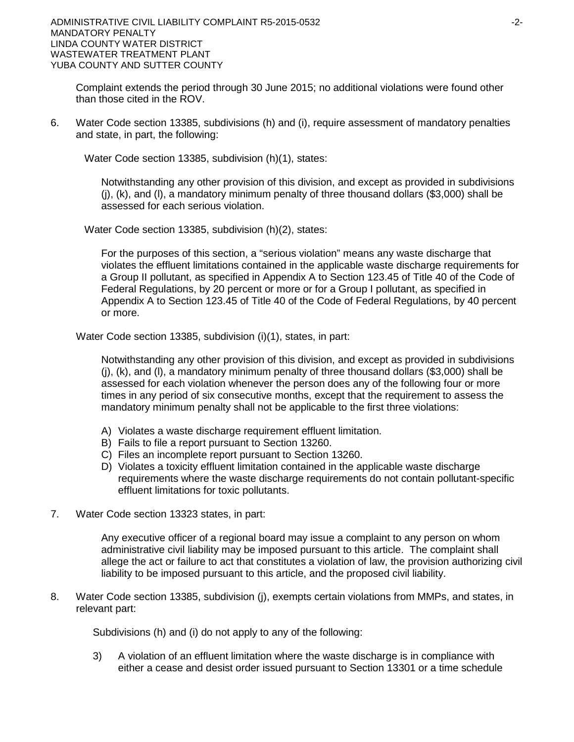Complaint extends the period through 30 June 2015; no additional violations were found other than those cited in the ROV.

6. Water Code section 13385, subdivisions (h) and (i), require assessment of mandatory penalties and state, in part, the following:

Water Code section 13385, subdivision (h)(1), states:

Notwithstanding any other provision of this division, and except as provided in subdivisions (j), (k), and (l), a mandatory minimum penalty of three thousand dollars (\$3,000) shall be assessed for each serious violation.

Water Code section 13385, subdivision (h)(2), states:

For the purposes of this section, a "serious violation" means any waste discharge that violates the effluent limitations contained in the applicable waste discharge requirements for a Group II pollutant, as specified in Appendix A to Section 123.45 of Title 40 of the Code of Federal Regulations, by 20 percent or more or for a Group I pollutant, as specified in Appendix A to Section 123.45 of Title 40 of the Code of Federal Regulations, by 40 percent or more.

Water Code section 13385, subdivision (i)(1), states, in part:

Notwithstanding any other provision of this division, and except as provided in subdivisions (j), (k), and (l), a mandatory minimum penalty of three thousand dollars (\$3,000) shall be assessed for each violation whenever the person does any of the following four or more times in any period of six consecutive months, except that the requirement to assess the mandatory minimum penalty shall not be applicable to the first three violations:

- A) Violates a waste discharge requirement effluent limitation.
- B) Fails to file a report pursuant to Section 13260.
- C) Files an incomplete report pursuant to Section 13260.
- D) Violates a toxicity effluent limitation contained in the applicable waste discharge requirements where the waste discharge requirements do not contain pollutant-specific effluent limitations for toxic pollutants.
- 7. Water Code section 13323 states, in part:

Any executive officer of a regional board may issue a complaint to any person on whom administrative civil liability may be imposed pursuant to this article. The complaint shall allege the act or failure to act that constitutes a violation of law, the provision authorizing civil liability to be imposed pursuant to this article, and the proposed civil liability.

8. Water Code section 13385, subdivision (j), exempts certain violations from MMPs, and states, in relevant part:

Subdivisions (h) and (i) do not apply to any of the following:

3) A violation of an effluent limitation where the waste discharge is in compliance with either a cease and desist order issued pursuant to Section 13301 or a time schedule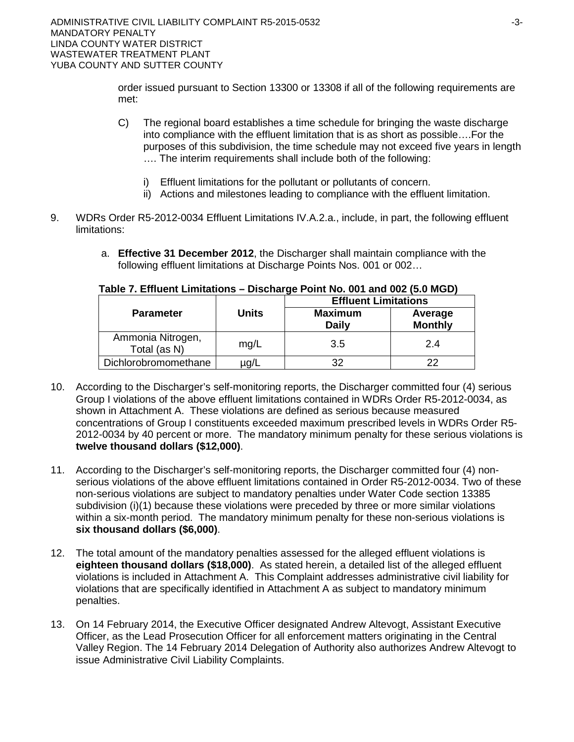order issued pursuant to Section 13300 or 13308 if all of the following requirements are met:

- C) The regional board establishes a time schedule for bringing the waste discharge into compliance with the effluent limitation that is as short as possible….For the purposes of this subdivision, the time schedule may not exceed five years in length …. The interim requirements shall include both of the following:
	- i) Effluent limitations for the pollutant or pollutants of concern.
	- ii) Actions and milestones leading to compliance with the effluent limitation.
- 9. WDRs Order R5-2012-0034 Effluent Limitations IV.A.2.a., include, in part, the following effluent limitations:
	- a. **Effective 31 December 2012**, the Discharger shall maintain compliance with the following effluent limitations at Discharge Points Nos. 001 or 002…

|                                   |              | <b>Effluent Limitations</b>    |                           |  |  |
|-----------------------------------|--------------|--------------------------------|---------------------------|--|--|
| <b>Parameter</b>                  | <b>Units</b> | <b>Maximum</b><br><b>Daily</b> | Average<br><b>Monthly</b> |  |  |
| Ammonia Nitrogen,<br>Total (as N) | mg/L         | 3.5                            | 2.4                       |  |  |
| Dichlorobromomethane              | ug/L         | 32                             | 22                        |  |  |

# **Table 7. Effluent Limitations – Discharge Point No. 001 and 002 (5.0 MGD)**

- 10. According to the Discharger's self-monitoring reports, the Discharger committed four (4) serious Group I violations of the above effluent limitations contained in WDRs Order R5-2012-0034, as shown in Attachment A. These violations are defined as serious because measured concentrations of Group I constituents exceeded maximum prescribed levels in WDRs Order R5- 2012-0034 by 40 percent or more. The mandatory minimum penalty for these serious violations is **twelve thousand dollars (\$12,000)**.
- 11. According to the Discharger's self-monitoring reports, the Discharger committed four (4) nonserious violations of the above effluent limitations contained in Order R5-2012-0034. Two of these non-serious violations are subject to mandatory penalties under Water Code section 13385 subdivision (i)(1) because these violations were preceded by three or more similar violations within a six-month period. The mandatory minimum penalty for these non-serious violations is **six thousand dollars (\$6,000)**.
- 12. The total amount of the mandatory penalties assessed for the alleged effluent violations is **eighteen thousand dollars (\$18,000)**. As stated herein, a detailed list of the alleged effluent violations is included in Attachment A. This Complaint addresses administrative civil liability for violations that are specifically identified in Attachment A as subject to mandatory minimum penalties.
- 13. On 14 February 2014, the Executive Officer designated Andrew Altevogt, Assistant Executive Officer, as the Lead Prosecution Officer for all enforcement matters originating in the Central Valley Region. The 14 February 2014 Delegation of Authority also authorizes Andrew Altevogt to issue Administrative Civil Liability Complaints.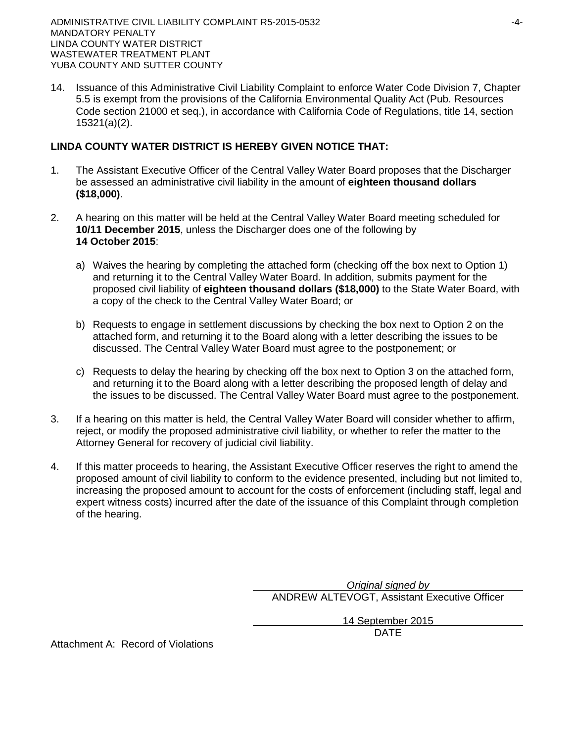14. Issuance of this Administrative Civil Liability Complaint to enforce Water Code Division 7, Chapter 5.5 is exempt from the provisions of the California Environmental Quality Act (Pub. Resources Code section 21000 et seq.), in accordance with California Code of Regulations, title 14, section 15321(a)(2).

# **LINDA COUNTY WATER DISTRICT IS HEREBY GIVEN NOTICE THAT:**

- 1. The Assistant Executive Officer of the Central Valley Water Board proposes that the Discharger be assessed an administrative civil liability in the amount of **eighteen thousand dollars (\$18,000)**.
- 2. A hearing on this matter will be held at the Central Valley Water Board meeting scheduled for **10/11 December 2015**, unless the Discharger does one of the following by **14 October 2015**:
	- a) Waives the hearing by completing the attached form (checking off the box next to Option 1) and returning it to the Central Valley Water Board. In addition, submits payment for the proposed civil liability of **eighteen thousand dollars (\$18,000)** to the State Water Board, with a copy of the check to the Central Valley Water Board; or
	- b) Requests to engage in settlement discussions by checking the box next to Option 2 on the attached form, and returning it to the Board along with a letter describing the issues to be discussed. The Central Valley Water Board must agree to the postponement; or
	- c) Requests to delay the hearing by checking off the box next to Option 3 on the attached form, and returning it to the Board along with a letter describing the proposed length of delay and the issues to be discussed. The Central Valley Water Board must agree to the postponement.
- 3. If a hearing on this matter is held, the Central Valley Water Board will consider whether to affirm, reject, or modify the proposed administrative civil liability, or whether to refer the matter to the Attorney General for recovery of judicial civil liability.
- 4. If this matter proceeds to hearing, the Assistant Executive Officer reserves the right to amend the proposed amount of civil liability to conform to the evidence presented, including but not limited to, increasing the proposed amount to account for the costs of enforcement (including staff, legal and expert witness costs) incurred after the date of the issuance of this Complaint through completion of the hearing.

*Original signed by* ANDREW ALTEVOGT, Assistant Executive Officer

> 14 September 2015 DATE

Attachment A: Record of Violations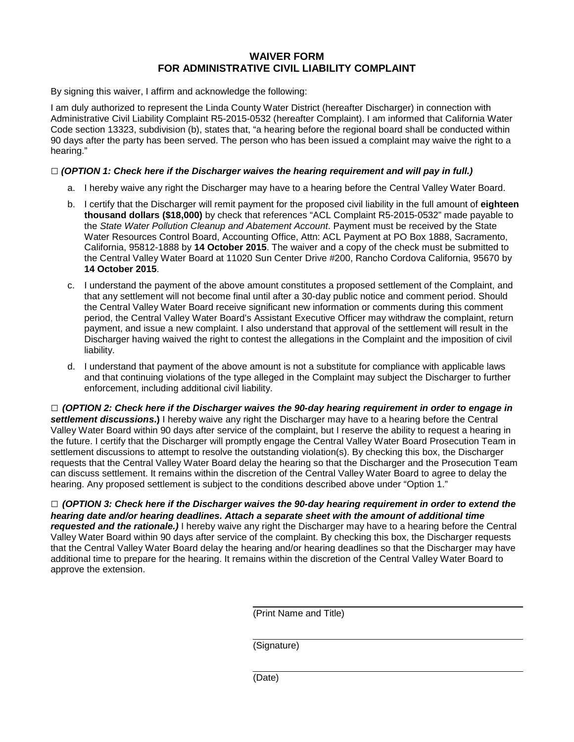## **WAIVER FORM FOR ADMINISTRATIVE CIVIL LIABILITY COMPLAINT**

By signing this waiver, I affirm and acknowledge the following:

I am duly authorized to represent the Linda County Water District (hereafter Discharger) in connection with Administrative Civil Liability Complaint R5-2015-0532 (hereafter Complaint). I am informed that California Water Code section 13323, subdivision (b), states that, "a hearing before the regional board shall be conducted within 90 days after the party has been served. The person who has been issued a complaint may waive the right to a hearing."

#### **□** *(OPTION 1: Check here if the Discharger waives the hearing requirement and will pay in full.)*

- a. I hereby waive any right the Discharger may have to a hearing before the Central Valley Water Board.
- b. I certify that the Discharger will remit payment for the proposed civil liability in the full amount of **eighteen thousand dollars (\$18,000)** by check that references "ACL Complaint R5-2015-0532" made payable to the *State Water Pollution Cleanup and Abatement Account*. Payment must be received by the State Water Resources Control Board, Accounting Office, Attn: ACL Payment at PO Box 1888, Sacramento, California, 95812-1888 by **14 October 2015**. The waiver and a copy of the check must be submitted to the Central Valley Water Board at 11020 Sun Center Drive #200, Rancho Cordova California, 95670 by **14 October 2015**.
- c. I understand the payment of the above amount constitutes a proposed settlement of the Complaint, and that any settlement will not become final until after a 30-day public notice and comment period. Should the Central Valley Water Board receive significant new information or comments during this comment period, the Central Valley Water Board's Assistant Executive Officer may withdraw the complaint, return payment, and issue a new complaint. I also understand that approval of the settlement will result in the Discharger having waived the right to contest the allegations in the Complaint and the imposition of civil liability.
- d. I understand that payment of the above amount is not a substitute for compliance with applicable laws and that continuing violations of the type alleged in the Complaint may subject the Discharger to further enforcement, including additional civil liability.

**□** *(OPTION 2: Check here if the Discharger waives the 90-day hearing requirement in order to engage in settlement discussions***.)** I hereby waive any right the Discharger may have to a hearing before the Central Valley Water Board within 90 days after service of the complaint, but I reserve the ability to request a hearing in the future. I certify that the Discharger will promptly engage the Central Valley Water Board Prosecution Team in settlement discussions to attempt to resolve the outstanding violation(s). By checking this box, the Discharger requests that the Central Valley Water Board delay the hearing so that the Discharger and the Prosecution Team can discuss settlement. It remains within the discretion of the Central Valley Water Board to agree to delay the hearing. Any proposed settlement is subject to the conditions described above under "Option 1."

**□** *(OPTION 3: Check here if the Discharger waives the 90-day hearing requirement in order to extend the hearing date and/or hearing deadlines. Attach a separate sheet with the amount of additional time requested and the rationale.)* I hereby waive any right the Discharger may have to a hearing before the Central Valley Water Board within 90 days after service of the complaint. By checking this box, the Discharger requests that the Central Valley Water Board delay the hearing and/or hearing deadlines so that the Discharger may have additional time to prepare for the hearing. It remains within the discretion of the Central Valley Water Board to approve the extension.

(Print Name and Title)

(Signature)

(Date)